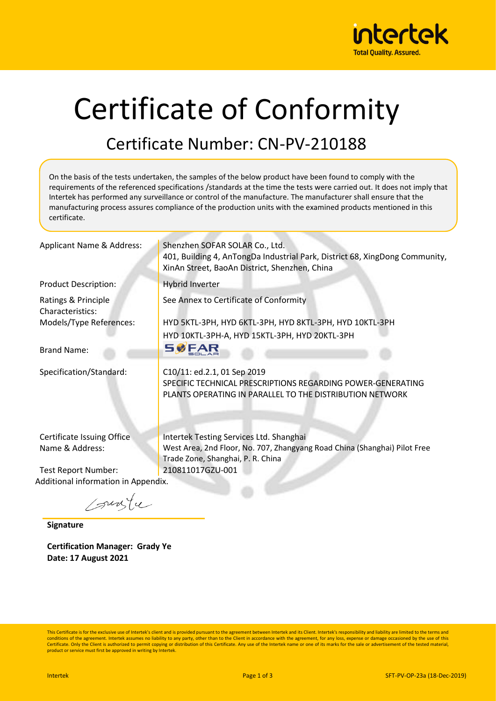

## Certificate of Conformity

## Certificate Number: CN-PV-210188

On the basis of the tests undertaken, the samples of the below product have been found to comply with the requirements of the referenced specifications /standards at the time the tests were carried out. It does not imply that Intertek has performed any surveillance or control of the manufacture. The manufacturer shall ensure that the manufacturing process assures compliance of the production units with the examined products mentioned in this certificate.

| Applicant Name & Address:                     | Shenzhen SOFAR SOLAR Co., Ltd.<br>401, Building 4, AnTongDa Industrial Park, District 68, XingDong Community,<br>XinAn Street, BaoAn District, Shenzhen, China |
|-----------------------------------------------|----------------------------------------------------------------------------------------------------------------------------------------------------------------|
| <b>Product Description:</b>                   | Hybrid Inverter                                                                                                                                                |
| Ratings & Principle<br>Characteristics:       | See Annex to Certificate of Conformity                                                                                                                         |
| Models/Type References:                       | HYD 5KTL-3PH, HYD 6KTL-3PH, HYD 8KTL-3PH, HYD 10KTL-3PH<br>HYD 10KTL-3PH-A, HYD 15KTL-3PH, HYD 20KTL-3PH                                                       |
| <b>Brand Name:</b>                            | <b>SØFAR</b>                                                                                                                                                   |
| Specification/Standard:                       | C10/11: ed.2.1, 01 Sep 2019<br>SPECIFIC TECHNICAL PRESCRIPTIONS REGARDING POWER-GENERATING<br>PLANTS OPERATING IN PARALLEL TO THE DISTRIBUTION NETWORK         |
| Certificate Issuing Office<br>Name & Address: | Intertek Testing Services Ltd. Shanghai<br>West Area, 2nd Floor, No. 707, Zhangyang Road China (Shanghai) Pilot Free<br>Trade Zone, Shanghai, P. R. China      |

Test Report Number: 210811017GZU-001 Additional information in Appendix.

sungle

**Signature**

**Certification Manager: Grady Ye Date: 17 August 2021**

This Certificate is for the exclusive use of Intertek's client and is provided pursuant to the agreement between Intertek and its Client. Intertek's responsibility and liability are limited to the terms and conditions of the agreement. Intertek assumes no liability to any party, other than to the Client in accordance with the agreement, for any loss, expense or damage occasioned by the use of this Certificate. Only the Client is authorized to permit copying or distribution of this Certificate. Any use of the Intertek name or one of its marks for the sale or advertisement of the tested material, product or service must first be approved in writing by Intertek.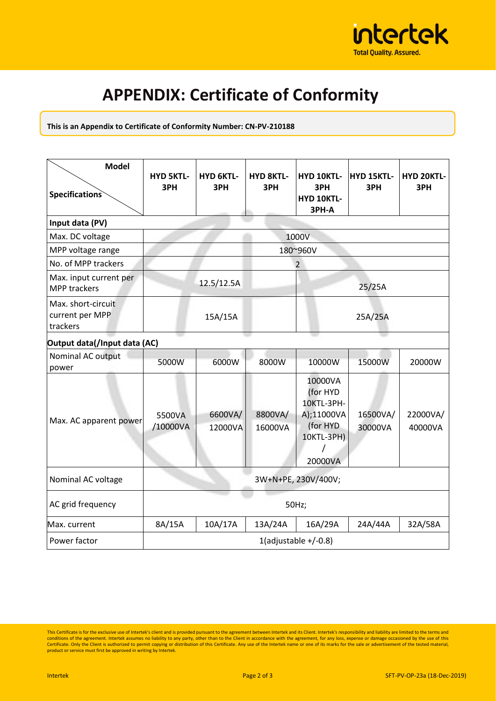

## **APPENDIX: Certificate of Conformity**

**This is an Appendix to Certificate of Conformity Number: CN-PV-210188**

| <b>Model</b><br><b>Specifications</b>             | <b>HYD 5KTL-</b><br>3PH | <b>HYD 6KTL-</b><br>3PH | <b>HYD 8KTL-</b><br>3PH | HYD 10KTL-<br>3PH<br><b>HYD 10KTL-</b><br>3PH-A                                      | HYD 15KTL-<br>3PH   | HYD 20KTL-<br>3PH   |  |  |  |  |
|---------------------------------------------------|-------------------------|-------------------------|-------------------------|--------------------------------------------------------------------------------------|---------------------|---------------------|--|--|--|--|
| Input data (PV)                                   |                         |                         |                         |                                                                                      |                     |                     |  |  |  |  |
| Max. DC voltage                                   | 1000V                   |                         |                         |                                                                                      |                     |                     |  |  |  |  |
| MPP voltage range                                 |                         | 180~960V                |                         |                                                                                      |                     |                     |  |  |  |  |
| No. of MPP trackers                               | $\overline{2}$          |                         |                         |                                                                                      |                     |                     |  |  |  |  |
| Max. input current per<br>MPP trackers            |                         | 12.5/12.5A              |                         |                                                                                      | 25/25A              |                     |  |  |  |  |
| Max. short-circuit<br>current per MPP<br>trackers |                         | 15A/15A                 |                         |                                                                                      | 25A/25A             |                     |  |  |  |  |
| Output data(/Input data (AC)                      |                         |                         |                         |                                                                                      |                     |                     |  |  |  |  |
| Nominal AC output<br>power                        | 5000W                   | 6000W                   | 8000W                   | 10000W                                                                               | 15000W              | 20000W              |  |  |  |  |
| Max. AC apparent power                            | 5500VA<br>/10000VA      | 6600VA/<br>12000VA      | 8800VA/<br>16000VA      | 10000VA<br>(for HYD<br>10KTL-3PH-<br>A);11000VA<br>(for HYD<br>10KTL-3PH)<br>20000VA | 16500VA/<br>30000VA | 22000VA/<br>40000VA |  |  |  |  |
| Nominal AC voltage                                | 3W+N+PE, 230V/400V;     |                         |                         |                                                                                      |                     |                     |  |  |  |  |
| AC grid frequency                                 | 50Hz;                   |                         |                         |                                                                                      |                     |                     |  |  |  |  |
| Max. current                                      | 8A/15A                  | 10A/17A                 | 13A/24A                 | 16A/29A                                                                              | 24A/44A             | 32A/58A             |  |  |  |  |
| Power factor                                      | 1(adjustable $+/-0.8$ ) |                         |                         |                                                                                      |                     |                     |  |  |  |  |

This Certificate is for the exclusive use of Intertek's client and is provided pursuant to the agreement between Intertek and its Client. Intertek's responsibility and liability are limited to the terms and conditions of t